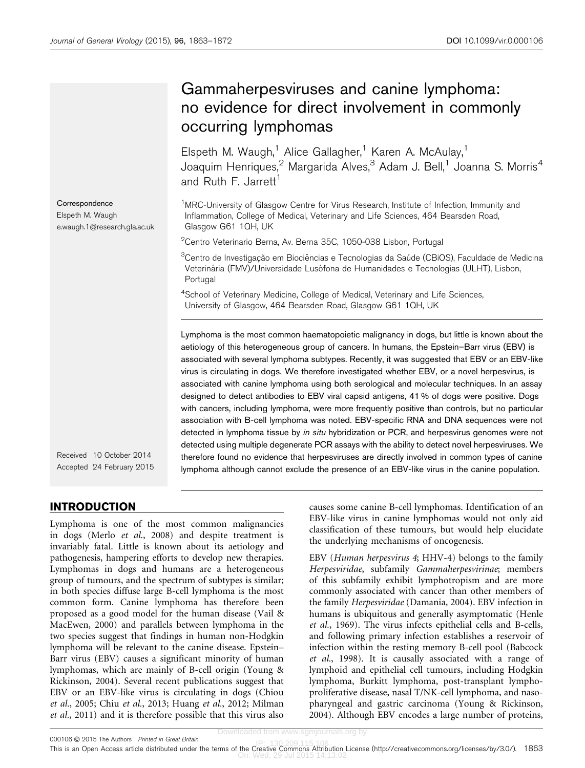# Gammaherpesviruses and canine lymphoma: no evidence for direct involvement in commonly occurring lymphomas

Elspeth M. Waugh,<sup>1</sup> Alice Gallagher,<sup>1</sup> Karen A. McAulay,<sup>1</sup> Joaquim Henriques,<sup>2</sup> Margarida Alves,<sup>3</sup> Adam J. Bell,<sup>1</sup> Joanna S. Morris<sup>4</sup> and Ruth F. Jarrett<sup>1</sup>

<sup>1</sup>MRC-University of Glasgow Centre for Virus Research, Institute of Infection, Immunity and Inflammation, College of Medical, Veterinary and Life Sciences, 464 Bearsden Road, Glasgow G61 1QH, UK

<sup>2</sup>Centro Veterinario Berna, Av. Berna 35C, 1050-038 Lisbon, Portugal

 $^3$ Centro de Investigação em Biociências e Tecnologias da Saúde (CBiOS), Faculdade de Medicina Veterinária (FMV)/Universidade Lusófona de Humanidades e Tecnologias (ULHT), Lisbon, Portugal

<sup>4</sup>School of Veterinary Medicine, College of Medical, Veterinary and Life Sciences, University of Glasgow, 464 Bearsden Road, Glasgow G61 1QH, UK

Lymphoma is the most common haematopoietic malignancy in dogs, but little is known about the aetiology of this heterogeneous group of cancers. In humans, the Epstein–Barr virus (EBV) is associated with several lymphoma subtypes. Recently, it was suggested that EBV or an EBV-like virus is circulating in dogs. We therefore investigated whether EBV, or a novel herpesvirus, is associated with canine lymphoma using both serological and molecular techniques. In an assay designed to detect antibodies to EBV viral capsid antigens, 41 % of dogs were positive. Dogs with cancers, including lymphoma, were more frequently positive than controls, but no particular association with B-cell lymphoma was noted. EBV-specific RNA and DNA sequences were not detected in lymphoma tissue by in situ hybridization or PCR, and herpesvirus genomes were not detected using multiple degenerate PCR assays with the ability to detect novel herpesviruses. We therefore found no evidence that herpesviruses are directly involved in common types of canine lymphoma although cannot exclude the presence of an EBV-like virus in the canine population.

Received 10 October 2014 Accepted 24 February 2015

## INTRODUCTION

Lymphoma is one of the most common malignancies in dogs (Merlo et al.[, 2008\)](#page-8-0) and despite treatment is invariably fatal. Little is known about its aetiology and pathogenesis, hampering efforts to develop new therapies. Lymphomas in dogs and humans are a heterogeneous group of tumours, and the spectrum of subtypes is similar; in both species diffuse large B-cell lymphoma is the most common form. Canine lymphoma has therefore been proposed as a good model for the human disease [\(Vail &](#page-9-0) [MacEwen, 2000\)](#page-9-0) and parallels between lymphoma in the two species suggest that findings in human non-Hodgkin lymphoma will be relevant to the canine disease. Epstein– Barr virus (EBV) causes a significant minority of human lymphomas, which are mainly of B-cell origin [\(Young &](#page-9-0) [Rickinson, 2004](#page-9-0)). Several recent publications suggest that EBV or an EBV-like virus is circulating in dogs ([Chiou](#page-8-0) et al.[, 2005;](#page-8-0) Chiu et al.[, 2013; Huang](#page-8-0) et al., 2012; [Milman](#page-9-0) et al.[, 2011](#page-9-0)) and it is therefore possible that this virus also causes some canine B-cell lymphomas. Identification of an EBV-like virus in canine lymphomas would not only aid classification of these tumours, but would help elucidate the underlying mechanisms of oncogenesis.

EBV (Human herpesvirus 4; HHV-4) belongs to the family Herpesviridae, subfamily Gammaherpesvirinae; members of this subfamily exhibit lymphotropism and are more commonly associated with cancer than other members of the family Herpesviridae [\(Damania, 2004\)](#page-8-0). EBV infection in humans is ubiquitous and generally asymptomatic ([Henle](#page-8-0) et al.[, 1969\)](#page-8-0). The virus infects epithelial cells and B-cells, and following primary infection establishes a reservoir of infection within the resting memory B-cell pool [\(Babcock](#page-8-0) et al.[, 1998](#page-8-0)). It is causally associated with a range of lymphoid and epithelial cell tumours, including Hodgkin lymphoma, Burkitt lymphoma, post-transplant lymphoproliferative disease, nasal T/NK-cell lymphoma, and nasopharyngeal and gastric carcinoma ([Young & Rickinson,](#page-9-0) [2004\)](#page-9-0). Although EBV encodes a large number of proteins,

Correspondence

e.waugh.1@research.gla.ac.uk

Elspeth M. Waugh

Downloaded from www.sgmjournals.org by

IP: 130.209.115.106 This is an Open Access article distributed under the terms of the Creative Commons Attribution License ([http://creativecommons.org/licenses/by/3.0/](http://creativecommons.org/licenses/by/3.0)). 1863On: Wed, 29 Jul 2015 14:13:02 000106 C 2015 The Authors Printed in Great Britain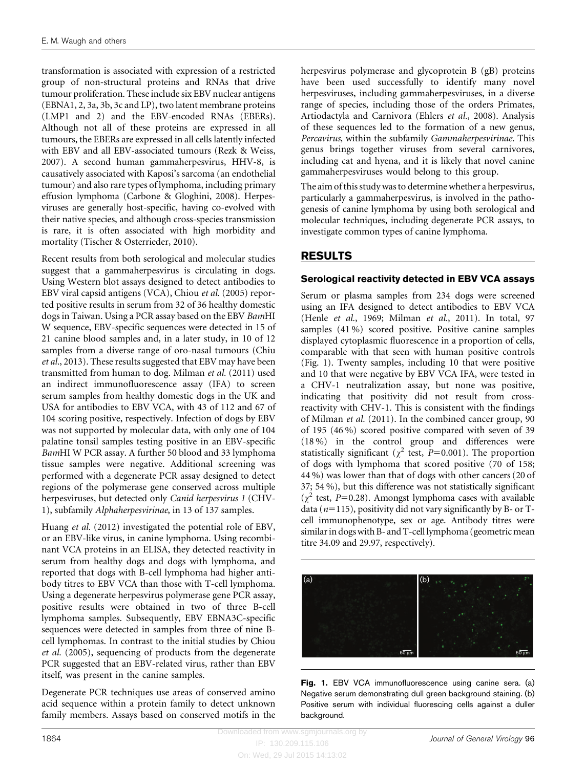transformation is associated with expression of a restricted group of non-structural proteins and RNAs that drive tumour proliferation. These include six EBV nuclear antigens (EBNA1, 2, 3a, 3b, 3c and LP), two latent membrane proteins (LMP1 and 2) and the EBV-encoded RNAs (EBERs). Although not all of these proteins are expressed in all tumours, the EBERs are expressed in all cells latently infected with EBV and all EBV-associated tumours [\(Rezk & Weiss,](#page-9-0) [2007](#page-9-0)). A second human gammaherpesvirus, HHV-8, is causatively associated with Kaposi's sarcoma (an endothelial tumour) and also rare types of lymphoma, including primary effusion lymphoma [\(Carbone & Gloghini, 2008\)](#page-8-0). Herpesviruses are generally host-specific, having co-evolved with their native species, and although cross-species transmission is rare, it is often associated with high morbidity and mortality [\(Tischer & Osterrieder, 2010](#page-9-0)).

Recent results from both serological and molecular studies suggest that a gammaherpesvirus is circulating in dogs. Using Western blot assays designed to detect antibodies to EBV viral capsid antigens (VCA), Chiou et al. [\(2005\)](#page-8-0) reported positive results in serum from 32 of 36 healthy domestic dogs in Taiwan. Using a PCR assay based on the EBV BamHI W sequence, EBV-specific sequences were detected in 15 of 21 canine blood samples and, in a later study, in 10 of 12 samples from a diverse range of oro-nasal tumours ([Chiu](#page-8-0) et al.[, 2013](#page-8-0)). These results suggested that EBV may have been transmitted from human to dog. [Milman](#page-9-0) et al. (2011) used an indirect immunofluorescence assay (IFA) to screen serum samples from healthy domestic dogs in the UK and USA for antibodies to EBV VCA, with 43 of 112 and 67 of 104 scoring positive, respectively. Infection of dogs by EBV was not supported by molecular data, with only one of 104 palatine tonsil samples testing positive in an EBV-specific BamHI W PCR assay. A further 50 blood and 33 lymphoma tissue samples were negative. Additional screening was performed with a degenerate PCR assay designed to detect regions of the polymerase gene conserved across multiple herpesviruses, but detected only Canid herpesvirus 1 (CHV-1), subfamily Alphaherpesvirinae, in 13 of 137 samples.

[Huang](#page-8-0) et al. (2012) investigated the potential role of EBV, or an EBV-like virus, in canine lymphoma. Using recombinant VCA proteins in an ELISA, they detected reactivity in serum from healthy dogs and dogs with lymphoma, and reported that dogs with B-cell lymphoma had higher antibody titres to EBV VCA than those with T-cell lymphoma. Using a degenerate herpesvirus polymerase gene PCR assay, positive results were obtained in two of three B-cell lymphoma samples. Subsequently, EBV EBNA3C-specific sequences were detected in samples from three of nine Bcell lymphomas. In contrast to the initial studies by [Chiou](#page-8-0) et al. [\(2005\),](#page-8-0) sequencing of products from the degenerate PCR suggested that an EBV-related virus, rather than EBV itself, was present in the canine samples.

Degenerate PCR techniques use areas of conserved amino acid sequence within a protein family to detect unknown family members. Assays based on conserved motifs in the herpesvirus polymerase and glycoprotein B (gB) proteins have been used successfully to identify many novel herpesviruses, including gammaherpesviruses, in a diverse range of species, including those of the orders Primates, Artiodactyla and Carnivora (Ehlers et al.[, 2008](#page-8-0)). Analysis of these sequences led to the formation of a new genus, Percavirus, within the subfamily Gammaherpesvirinae. This genus brings together viruses from several carnivores, including cat and hyena, and it is likely that novel canine gammaherpesviruses would belong to this group.

The aim of this study was to determine whether a herpesvirus, particularly a gammaherpesvirus, is involved in the pathogenesis of canine lymphoma by using both serological and molecular techniques, including degenerate PCR assays, to investigate common types of canine lymphoma.

### RESULTS

#### Serological reactivity detected in EBV VCA assays

Serum or plasma samples from 234 dogs were screened using an IFA designed to detect antibodies to EBV VCA (Henle et al.[, 1969](#page-8-0); [Milman](#page-9-0) et al., 2011). In total, 97 samples (41 %) scored positive. Positive canine samples displayed cytoplasmic fluorescence in a proportion of cells, comparable with that seen with human positive controls (Fig. 1). Twenty samples, including 10 that were positive and 10 that were negative by EBV VCA IFA, were tested in a CHV-1 neutralization assay, but none was positive, indicating that positivity did not result from crossreactivity with CHV-1. This is consistent with the findings of [Milman](#page-9-0) et al. (2011). In the combined cancer group, 90 of 195 (46 %) scored positive compared with seven of 39 (18 %) in the control group and differences were statistically significant ( $\chi^2$  test,  $\bar{P}=0.001$ ). The proportion of dogs with lymphoma that scored positive (70 of 158; 44 %) was lower than that of dogs with other cancers (20 of 37; 54 %), but this difference was not statistically significant  $(\chi^2 \text{ test}, P=0.28)$ . Amongst lymphoma cases with available data ( $n=115$ ), positivity did not vary significantly by B- or Tcell immunophenotype, sex or age. Antibody titres were similar in dogs with B- and T-cell lymphoma (geometric mean titre 34.09 and 29.97, respectively).



Fig. 1. EBV VCA immunofluorescence using canine sera. (a) Negative serum demonstrating dull green background staining. (b) Positive serum with individual fluorescing cells against a duller background.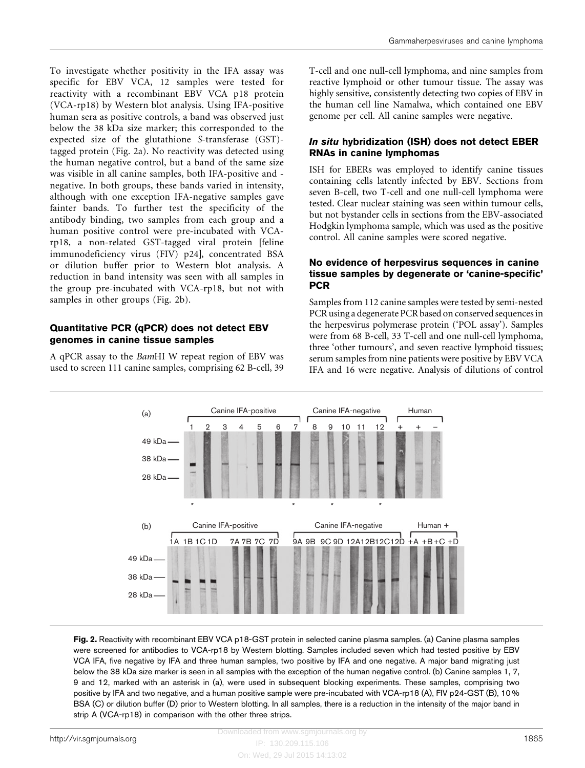To investigate whether positivity in the IFA assay was specific for EBV VCA, 12 samples were tested for reactivity with a recombinant EBV VCA p18 protein (VCA-rp18) by Western blot analysis. Using IFA-positive human sera as positive controls, a band was observed just below the 38 kDa size marker; this corresponded to the expected size of the glutathione S-transferase (GST) tagged protein (Fig. 2a). No reactivity was detected using the human negative control, but a band of the same size was visible in all canine samples, both IFA-positive and negative. In both groups, these bands varied in intensity, although with one exception IFA-negative samples gave fainter bands. To further test the specificity of the antibody binding, two samples from each group and a human positive control were pre-incubated with VCArp18, a non-related GST-tagged viral protein [feline immunodeficiency virus (FIV) p24], concentrated BSA or dilution buffer prior to Western blot analysis. A reduction in band intensity was seen with all samples in the group pre-incubated with VCA-rp18, but not with samples in other groups (Fig. 2b).

#### Quantitative PCR (qPCR) does not detect EBV genomes in canine tissue samples

A qPCR assay to the BamHI W repeat region of EBV was used to screen 111 canine samples, comprising 62 B-cell, 39 T-cell and one null-cell lymphoma, and nine samples from reactive lymphoid or other tumour tissue. The assay was highly sensitive, consistently detecting two copies of EBV in the human cell line Namalwa, which contained one EBV genome per cell. All canine samples were negative.

#### In situ hybridization (ISH) does not detect EBER RNAs in canine lymphomas

ISH for EBERs was employed to identify canine tissues containing cells latently infected by EBV. Sections from seven B-cell, two T-cell and one null-cell lymphoma were tested. Clear nuclear staining was seen within tumour cells, but not bystander cells in sections from the EBV-associated Hodgkin lymphoma sample, which was used as the positive control. All canine samples were scored negative.

#### No evidence of herpesvirus sequences in canine tissue samples by degenerate or 'canine-specific' **PCR**

Samples from 112 canine samples were tested by semi-nested PCR using a degenerate PCR based on conserved sequences in the herpesvirus polymerase protein ('POL assay'). Samples were from 68 B-cell, 33 T-cell and one null-cell lymphoma, three 'other tumours', and seven reactive lymphoid tissues; serum samples from nine patients were positive by EBV VCA IFA and 16 were negative. Analysis of dilutions of control



Fig. 2. Reactivity with recombinant EBV VCA p18-GST protein in selected canine plasma samples. (a) Canine plasma samples were screened for antibodies to VCA-rp18 by Western blotting. Samples included seven which had tested positive by EBV VCA IFA, five negative by IFA and three human samples, two positive by IFA and one negative. A major band migrating just below the 38 kDa size marker is seen in all samples with the exception of the human negative control. (b) Canine samples 1, 7, 9 and 12, marked with an asterisk in (a), were used in subsequent blocking experiments. These samples, comprising two positive by IFA and two negative, and a human positive sample were pre-incubated with VCA-rp18 (A), FIV p24-GST (B), 10 % BSA (C) or dilution buffer (D) prior to Western blotting. In all samples, there is a reduction in the intensity of the major band in strip A (VCA-rp18) in comparison with the other three strips.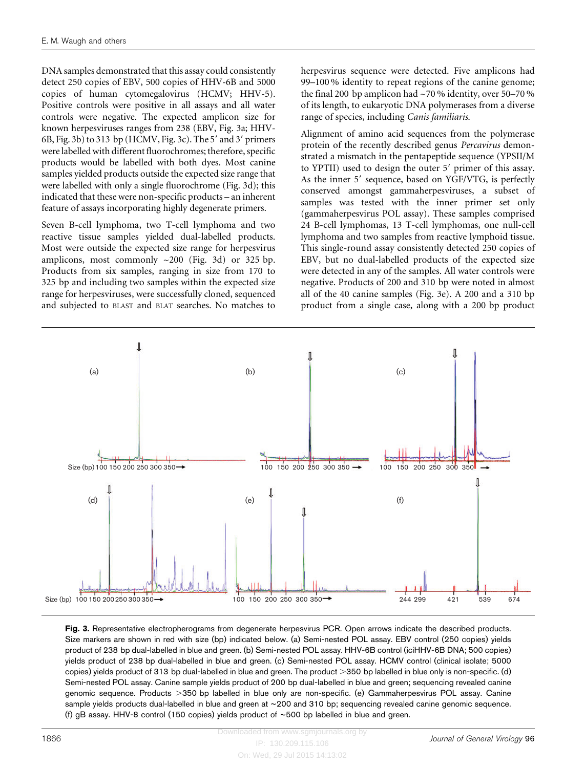<span id="page-3-0"></span>DNA samples demonstrated that this assay could consistently detect 250 copies of EBV, 500 copies of HHV-6B and 5000 copies of human cytomegalovirus (HCMV; HHV-5). Positive controls were positive in all assays and all water controls were negative. The expected amplicon size for known herpesviruses ranges from 238 (EBV, Fig. 3a; HHV- $6B$ , Fig. 3b) to 313 bp (HCMV, Fig. 3c). The 5' and 3' primers were labelled with different fluorochromes; therefore, specific products would be labelled with both dyes. Most canine samples yielded products outside the expected size range that were labelled with only a single fluorochrome (Fig. 3d); this indicated that these were non-specific products – an inherent feature of assays incorporating highly degenerate primers.

Seven B-cell lymphoma, two T-cell lymphoma and two reactive tissue samples yielded dual-labelled products. Most were outside the expected size range for herpesvirus amplicons, most commonly ~200 (Fig. 3d) or 325 bp. Products from six samples, ranging in size from 170 to 325 bp and including two samples within the expected size range for herpesviruses, were successfully cloned, sequenced and subjected to BLAST and BLAT searches. No matches to

herpesvirus sequence were detected. Five amplicons had 99–100 % identity to repeat regions of the canine genome; the final 200 bp amplicon had  $\sim$  70 % identity, over 50–70 % of its length, to eukaryotic DNA polymerases from a diverse range of species, including Canis familiaris.

Alignment of amino acid sequences from the polymerase protein of the recently described genus Percavirus demonstrated a mismatch in the pentapeptide sequence (YPSII/M to YPTII) used to design the outer 5' primer of this assay. As the inner 5' sequence, based on YGF/VTG, is perfectly conserved amongst gammaherpesviruses, a subset of samples was tested with the inner primer set only (gammaherpesvirus POL assay). These samples comprised 24 B-cell lymphomas, 13 T-cell lymphomas, one null-cell lymphoma and two samples from reactive lymphoid tissue. This single-round assay consistently detected 250 copies of EBV, but no dual-labelled products of the expected size were detected in any of the samples. All water controls were negative. Products of 200 and 310 bp were noted in almost all of the 40 canine samples (Fig. 3e). A 200 and a 310 bp product from a single case, along with a 200 bp product



Fig. 3. Representative electropherograms from degenerate herpesvirus PCR. Open arrows indicate the described products. Size markers are shown in red with size (bp) indicated below. (a) Semi-nested POL assay. EBV control (250 copies) yields product of 238 bp dual-labelled in blue and green. (b) Semi-nested POL assay. HHV-6B control (iciHHV-6B DNA; 500 copies) yields product of 238 bp dual-labelled in blue and green. (c) Semi-nested POL assay. HCMV control (clinical isolate; 5000 copies) yields product of 313 bp dual-labelled in blue and green. The product >350 bp labelled in blue only is non-specific. (d) Semi-nested POL assay. Canine sample yields product of 200 bp dual-labelled in blue and green; sequencing revealed canine genomic sequence. Products >350 bp labelled in blue only are non-specific. (e) Gammaherpesvirus POL assay. Canine sample yields products dual-labelled in blue and green at ~200 and 310 bp; sequencing revealed canine genomic sequence. (f) gB assay. HHV-8 control (150 copies) yields product of ~500 bp labelled in blue and green.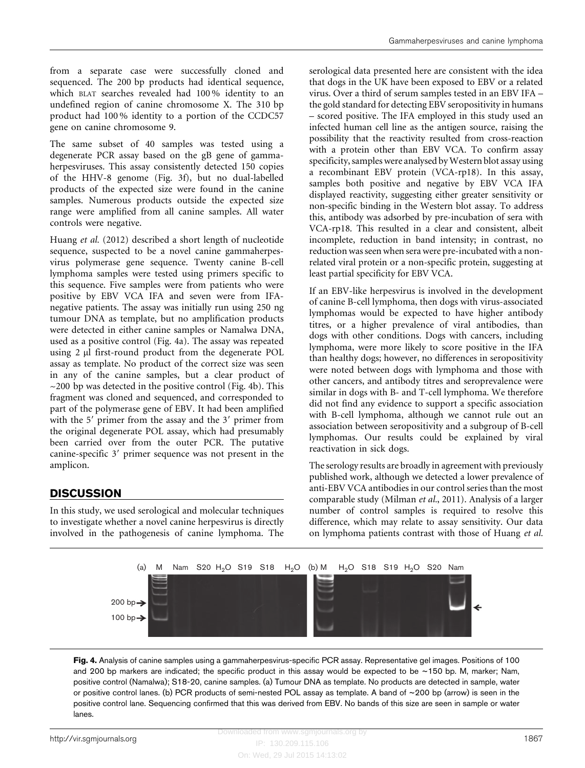from a separate case were successfully cloned and sequenced. The 200 bp products had identical sequence, which BLAT searches revealed had 100 % identity to an undefined region of canine chromosome X. The 310 bp product had 100 % identity to a portion of the CCDC57 gene on canine chromosome 9.

The same subset of 40 samples was tested using a degenerate PCR assay based on the gB gene of gammaherpesviruses. This assay consistently detected 150 copies of the HHV-8 genome ([Fig. 3f](#page-3-0)), but no dual-labelled products of the expected size were found in the canine samples. Numerous products outside the expected size range were amplified from all canine samples. All water controls were negative.

[Huang](#page-8-0) et al. (2012) described a short length of nucleotide sequence, suspected to be a novel canine gammaherpesvirus polymerase gene sequence. Twenty canine B-cell lymphoma samples were tested using primers specific to this sequence. Five samples were from patients who were positive by EBV VCA IFA and seven were from IFAnegative patients. The assay was initially run using 250 ng tumour DNA as template, but no amplification products were detected in either canine samples or Namalwa DNA, used as a positive control (Fig. 4a). The assay was repeated using 2 µl first-round product from the degenerate POL assay as template. No product of the correct size was seen in any of the canine samples, but a clear product of  $\sim$ 200 bp was detected in the positive control (Fig. 4b). This fragment was cloned and sequenced, and corresponded to part of the polymerase gene of EBV. It had been amplified with the  $5'$  primer from the assay and the  $3'$  primer from the original degenerate POL assay, which had presumably been carried over from the outer PCR. The putative canine-specific  $3'$  primer sequence was not present in the amplicon.

## **DISCUSSION**

In this study, we used serological and molecular techniques to investigate whether a novel canine herpesvirus is directly involved in the pathogenesis of canine lymphoma. The serological data presented here are consistent with the idea that dogs in the UK have been exposed to EBV or a related virus. Over a third of serum samples tested in an EBV IFA – the gold standard for detecting EBV seropositivity in humans – scored positive. The IFA employed in this study used an infected human cell line as the antigen source, raising the possibility that the reactivity resulted from cross-reaction with a protein other than EBV VCA. To confirm assay specificity, samples were analysed by Western blot assay using a recombinant EBV protein (VCA-rp18). In this assay, samples both positive and negative by EBV VCA IFA displayed reactivity, suggesting either greater sensitivity or non-specific binding in the Western blot assay. To address this, antibody was adsorbed by pre-incubation of sera with VCA-rp18. This resulted in a clear and consistent, albeit incomplete, reduction in band intensity; in contrast, no reduction was seen when sera were pre-incubated with a nonrelated viral protein or a non-specific protein, suggesting at least partial specificity for EBV VCA.

If an EBV-like herpesvirus is involved in the development of canine B-cell lymphoma, then dogs with virus-associated lymphomas would be expected to have higher antibody titres, or a higher prevalence of viral antibodies, than dogs with other conditions. Dogs with cancers, including lymphoma, were more likely to score positive in the IFA than healthy dogs; however, no differences in seropositivity were noted between dogs with lymphoma and those with other cancers, and antibody titres and seroprevalence were similar in dogs with B- and T-cell lymphoma. We therefore did not find any evidence to support a specific association with B-cell lymphoma, although we cannot rule out an association between seropositivity and a subgroup of B-cell lymphomas. Our results could be explained by viral reactivation in sick dogs.

The serology results are broadly in agreement with previously published work, although we detected a lower prevalence of anti-EBV VCA antibodies in our control series than the most comparable study ([Milman](#page-9-0) et al., 2011). Analysis of a larger number of control samples is required to resolve this difference, which may relate to assay sensitivity. Our data on lymphoma patients contrast with those of [Huang](#page-8-0) et al.



Fig. 4. Analysis of canine samples using a gammaherpesvirus-specific PCR assay. Representative gel images. Positions of 100 and 200 bp markers are indicated; the specific product in this assay would be expected to be  $\sim$ 150 bp. M, marker; Nam, positive control (Namalwa); S18-20, canine samples. (a) Tumour DNA as template. No products are detected in sample, water or positive control lanes. (b) PCR products of semi-nested POL assay as template. A band of  $\sim$  200 bp (arrow) is seen in the positive control lane. Sequencing confirmed that this was derived from EBV. No bands of this size are seen in sample or water lanes.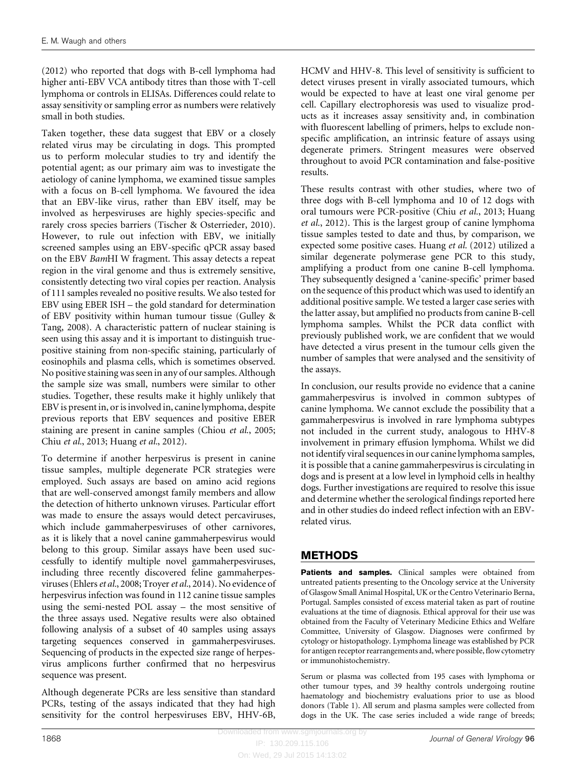[\(2012\)](#page-8-0) who reported that dogs with B-cell lymphoma had higher anti-EBV VCA antibody titres than those with T-cell lymphoma or controls in ELISAs. Differences could relate to assay sensitivity or sampling error as numbers were relatively small in both studies.

Taken together, these data suggest that EBV or a closely related virus may be circulating in dogs. This prompted us to perform molecular studies to try and identify the potential agent; as our primary aim was to investigate the aetiology of canine lymphoma, we examined tissue samples with a focus on B-cell lymphoma. We favoured the idea that an EBV-like virus, rather than EBV itself, may be involved as herpesviruses are highly species-specific and rarely cross species barriers ([Tischer & Osterrieder, 2010](#page-9-0)). However, to rule out infection with EBV, we initially screened samples using an EBV-specific qPCR assay based on the EBV BamHI W fragment. This assay detects a repeat region in the viral genome and thus is extremely sensitive, consistently detecting two viral copies per reaction. Analysis of 111 samples revealed no positive results. We also tested for EBV using EBER ISH – the gold standard for determination of EBV positivity within human tumour tissue ([Gulley &](#page-8-0) [Tang, 2008](#page-8-0)). A characteristic pattern of nuclear staining is seen using this assay and it is important to distinguish truepositive staining from non-specific staining, particularly of eosinophils and plasma cells, which is sometimes observed. No positive staining was seen in any of our samples. Although the sample size was small, numbers were similar to other studies. Together, these results make it highly unlikely that EBV is present in, or is involved in, canine lymphoma, despite previous reports that EBV sequences and positive EBER staining are present in canine samples ([Chiou](#page-8-0) et al., 2005; Chiu et al.[, 2013](#page-8-0); [Huang](#page-8-0) et al., 2012).

To determine if another herpesvirus is present in canine tissue samples, multiple degenerate PCR strategies were employed. Such assays are based on amino acid regions that are well-conserved amongst family members and allow the detection of hitherto unknown viruses. Particular effort was made to ensure the assays would detect percaviruses, which include gammaherpesviruses of other carnivores, as it is likely that a novel canine gammaherpesvirus would belong to this group. Similar assays have been used successfully to identify multiple novel gammaherpesviruses, including three recently discovered feline gammaherpes-viruses ([Ehlers](#page-8-0) et al., 2008; [Troyer](#page-9-0) et al., 2014). No evidence of herpesvirus infection was found in 112 canine tissue samples using the semi-nested POL assay – the most sensitive of the three assays used. Negative results were also obtained following analysis of a subset of 40 samples using assays targeting sequences conserved in gammaherpesviruses. Sequencing of products in the expected size range of herpesvirus amplicons further confirmed that no herpesvirus sequence was present.

Although degenerate PCRs are less sensitive than standard PCRs, testing of the assays indicated that they had high sensitivity for the control herpesviruses EBV, HHV-6B, HCMV and HHV-8. This level of sensitivity is sufficient to detect viruses present in virally associated tumours, which would be expected to have at least one viral genome per cell. Capillary electrophoresis was used to visualize products as it increases assay sensitivity and, in combination with fluorescent labelling of primers, helps to exclude nonspecific amplification, an intrinsic feature of assays using degenerate primers. Stringent measures were observed throughout to avoid PCR contamination and false-positive results.

These results contrast with other studies, where two of three dogs with B-cell lymphoma and 10 of 12 dogs with oral tumours were PCR-positive (Chiu et al.[, 2013; Huang](#page-8-0) et al.[, 2012](#page-8-0)). This is the largest group of canine lymphoma tissue samples tested to date and thus, by comparison, we expected some positive cases. [Huang](#page-8-0) et al. (2012) utilized a similar degenerate polymerase gene PCR to this study, amplifying a product from one canine B-cell lymphoma. They subsequently designed a 'canine-specific' primer based on the sequence of this product which was used to identify an additional positive sample. We tested a larger case series with the latter assay, but amplified no products from canine B-cell lymphoma samples. Whilst the PCR data conflict with previously published work, we are confident that we would have detected a virus present in the tumour cells given the number of samples that were analysed and the sensitivity of the assays.

In conclusion, our results provide no evidence that a canine gammaherpesvirus is involved in common subtypes of canine lymphoma. We cannot exclude the possibility that a gammaherpesvirus is involved in rare lymphoma subtypes not included in the current study, analogous to HHV-8 involvement in primary effusion lymphoma. Whilst we did not identify viral sequences in our canine lymphoma samples, it is possible that a canine gammaherpesvirus is circulating in dogs and is present at a low level in lymphoid cells in healthy dogs. Further investigations are required to resolve this issue and determine whether the serological findings reported here and in other studies do indeed reflect infection with an EBVrelated virus.

## METHODS

Patients and samples. Clinical samples were obtained from untreated patients presenting to the Oncology service at the University of Glasgow Small Animal Hospital, UK or the Centro Veterinario Berna, Portugal. Samples consisted of excess material taken as part of routine evaluations at the time of diagnosis. Ethical approval for their use was obtained from the Faculty of Veterinary Medicine Ethics and Welfare Committee, University of Glasgow. Diagnoses were confirmed by cytology or histopathology. Lymphoma lineage was established by PCR for antigen receptor rearrangements and, where possible, flow cytometry or immunohistochemistry.

Serum or plasma was collected from 195 cases with lymphoma or other tumour types, and 39 healthy controls undergoing routine haematology and biochemistry evaluations prior to use as blood donors [\(Table 1\)](#page-6-0). All serum and plasma samples were collected from dogs in the UK. The case series included a wide range of breeds;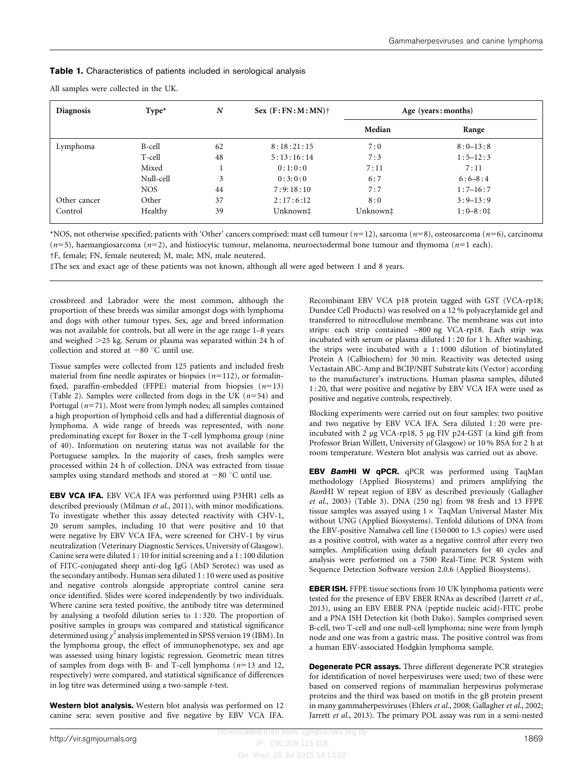#### <span id="page-6-0"></span>Table 1. Characteristics of patients included in serological analysis

| All samples were collected in the UK. |  |  |  |  |  |  |  |
|---------------------------------------|--|--|--|--|--|--|--|
|---------------------------------------|--|--|--|--|--|--|--|

| <b>Diagnosis</b> | $Type*$    | N  | $Sex (F: FN: M: MN)$ <sup>+</sup> | Age (years: months) |             |  |
|------------------|------------|----|-----------------------------------|---------------------|-------------|--|
|                  |            |    |                                   | Median              | Range       |  |
| Lymphoma         | B-cell     | 62 | 8:18:21:15                        | 7:0                 | $8:0-13:8$  |  |
|                  | T-cell     | 48 | 5:13:16:14                        | 7:3                 | $1:5-12:3$  |  |
|                  | Mixed      |    | 0:1:0:0                           | 7:11                | 7:11        |  |
|                  | Null-cell  | 3  | 0:3:0:0                           | 6:7                 | $6:6 - 8:4$ |  |
|                  | <b>NOS</b> | 44 | 7:9:18:10                         | 7:7                 | $1:7-16:7$  |  |
| Other cancer     | Other      | 37 | 2:17:6:12                         | 8:0                 | $3:9-13:9$  |  |
| Control          | Healthy    | 39 | Unknown‡                          | Unknown‡            | $1:0-8:0+$  |  |

\*NOS, not otherwise specified; patients with 'Other' cancers comprised: mast cell tumour ( $n=12$ ), sarcoma ( $n=8$ ), osteosarcoma ( $n=6$ ), carcinoma  $(n=5)$ , haemangiosarcoma  $(n=2)$ , and histiocytic tumour, melanoma, neuroectodermal bone tumour and thymoma  $(n=1)$  each).

 $\dagger$ F, female; FN, female neutered; M, male; MN, male neutered.

dThe sex and exact age of these patients was not known, although all were aged between 1 and 8 years.

crossbreed and Labrador were the most common, although the proportion of these breeds was similar amongst dogs with lymphoma and dogs with other tumour types. Sex, age and breed information was not available for controls, but all were in the age range 1–8 years and weighed  $>$ 25 kg. Serum or plasma was separated within 24 h of collection and stored at  $-80$  °C until use.

Tissue samples were collected from 125 patients and included fresh material from fine needle aspirates or biopsies  $(n=112)$ , or formalinfixed, paraffin-embedded (FFPE) material from biopsies  $(n=13)$ ([Table 2\)](#page-7-0). Samples were collected from dogs in the UK ( $n=54$ ) and Portugal  $(n=71)$ . Most were from lymph nodes; all samples contained a high proportion of lymphoid cells and had a differential diagnosis of lymphoma. A wide range of breeds was represented, with none predominating except for Boxer in the T-cell lymphoma group (nine of 40). Information on neutering status was not available for the Portuguese samples. In the majority of cases, fresh samples were processed within 24 h of collection. DNA was extracted from tissue samples using standard methods and stored at  $-80$  °C until use.

EBV VCA IFA. EBV VCA IFA was performed using P3HR1 cells as described previously ([Milman](#page-9-0) et al., 2011), with minor modifications. To investigate whether this assay detected reactivity with CHV-1, 20 serum samples, including 10 that were positive and 10 that were negative by EBV VCA IFA, were screened for CHV-1 by virus neutralization (Veterinary Diagnostic Services, University of Glasgow). Canine sera were diluted 1 : 10 for initial screening and a 1 : 100 dilution of FITC-conjugated sheep anti-dog IgG (AbD Serotec) was used as the secondary antibody. Human sera diluted 1 : 10 were used as positive and negative controls alongside appropriate control canine sera once identified. Slides were scored independently by two individuals. Where canine sera tested positive, the antibody titre was determined by analysing a twofold dilution series to 1 : 320. The proportion of positive samples in groups was compared and statistical significance determined using  $\chi^2$  analysis implemented in SPSS version 19 (IBM). In the lymphoma group, the effect of immunophenotype, sex and age was assessed using binary logistic regression. Geometric mean titres of samples from dogs with B- and T-cell lymphoma  $(n=13$  and 12, respectively) were compared, and statistical significance of differences in log titre was determined using a two-sample t-test.

Western blot analysis. Western blot analysis was performed on 12 canine sera: seven positive and five negative by EBV VCA IFA.

Recombinant EBV VCA p18 protein tagged with GST (VCA-rp18; Dundee Cell Products) was resolved on a 12 % polyacrylamide gel and transferred to nitrocellulose membrane. The membrane was cut into strips: each strip contained ~800 ng VCA-rp18. Each strip was incubated with serum or plasma diluted 1 : 20 for 1 h. After washing, the strips were incubated with a 1:1000 dilution of biotinylated Protein A (Calbiochem) for 30 min. Reactivity was detected using Vectastain ABC-Amp and BCIP/NBT Substrate kits (Vector) according to the manufacturer's instructions. Human plasma samples, diluted 1 : 20, that were positive and negative by EBV VCA IFA were used as positive and negative controls, respectively.

Blocking experiments were carried out on four samples: two positive and two negative by EBV VCA IFA. Sera diluted 1 : 20 were preincubated with 2 µg VCA-rp18, 5 µg FIV p24-GST (a kind gift from Professor Brian Willett, University of Glasgow) or 10 % BSA for 2 h at room temperature. Western blot analysis was carried out as above.

EBV BamHI W qPCR. qPCR was performed using TaqMan methodology (Applied Biosystems) and primers amplifying the BamHI W repeat region of EBV as described previously [\(Gallagher](#page-8-0) et al.[, 2003](#page-8-0)) [\(Table 3\)](#page-7-0). DNA (250 ng) from 98 fresh and 13 FFPE tissue samples was assayed using  $1\times$  TaqMan Universal Master Mix without UNG (Applied Biosystems). Tenfold dilutions of DNA from the EBV-positive Namalwa cell line (150 000 to 1.5 copies) were used as a positive control, with water as a negative control after every two samples. Amplification using default parameters for 40 cycles and analysis were performed on a 7500 Real-Time PCR System with Sequence Detection Software version 2.0.6 (Applied Biosystems).

EBER ISH. FFPE tissue sections from 10 UK lymphoma patients were tested for the presence of EBV EBER RNAs as described ([Jarrett](#page-8-0) et al., [2013](#page-8-0)), using an EBV EBER PNA (peptide nucleic acid)-FITC probe and a PNA ISH Detection kit (both Dako). Samples comprised seven B-cell, two T-cell and one null-cell lymphoma; nine were from lymph node and one was from a gastric mass. The positive control was from a human EBV-associated Hodgkin lymphoma sample.

Degenerate PCR assays. Three different degenerate PCR strategies for identification of novel herpesviruses were used; two of these were based on conserved regions of mammalian herpesvirus polymerase proteins and the third was based on motifs in the gB protein present in many gammaherpesviruses [\(Ehlers](#page-8-0) et al., 2008; [Gallagher](#page-8-0) et al., 2002; [Jarrett](#page-8-0) et al., 2013). The primary POL assay was run in a semi-nested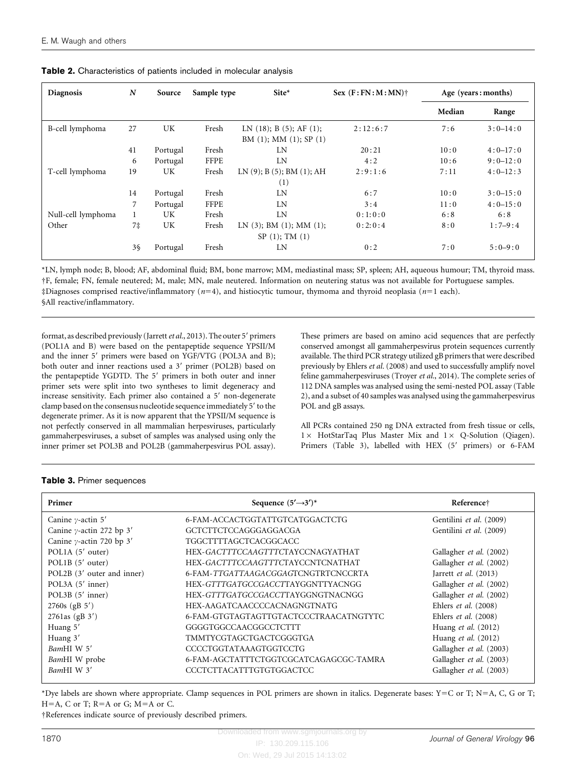| <b>Diagnosis</b>   | $\boldsymbol{N}$ | Source   | Sample type | $Site*$                                                            | Sex $(F:FN:M:MN)$ <sup>+</sup> |        | Age (years: months) |
|--------------------|------------------|----------|-------------|--------------------------------------------------------------------|--------------------------------|--------|---------------------|
|                    |                  |          |             |                                                                    |                                | Median | Range               |
| B-cell lymphoma    | 27               | UK       | Fresh       | LN $(18)$ ; B $(5)$ ; AF $(1)$ ;<br>BM $(1)$ ; MM $(1)$ ; SP $(1)$ | 2:12:6:7                       | 7:6    | $3:0-14:0$          |
|                    | 41               | Portugal | Fresh       | LN                                                                 | 20:21                          | 10:0   | $4:0-17:0$          |
|                    | 6                | Portugal | <b>FFPE</b> | LN                                                                 | 4:2                            | 10:6   | $9:0-12:0$          |
| T-cell lymphoma    | 19               | UK       | Fresh       | LN(9); B(5); BM(1); AH                                             | 2:9:1:6                        | 7:11   | $4:0-12:3$          |
|                    |                  |          |             | (1)                                                                |                                |        |                     |
|                    | 14               | Portugal | Fresh       | LN                                                                 | 6:7                            | 10:0   | $3:0-15:0$          |
|                    | 7                | Portugal | <b>FFPE</b> | <b>LN</b>                                                          | 3:4                            | 11:0   | $4:0-15:0$          |
| Null-cell lymphoma | 1                | UK       | Fresh       | LN                                                                 | 0:1:0:0                        | 6:8    | 6:8                 |
| Other              | 7‡               | UK       | Fresh       | LN $(3)$ ; BM $(1)$ ; MM $(1)$ ;<br>SP(1); TM(1)                   | 0:2:0:4                        | 8:0    | $1:7-9:4$           |
|                    | 3\$              | Portugal | Fresh       | LN                                                                 | 0:2                            | 7:0    | $5:0-9:0$           |

<span id="page-7-0"></span>Table 2. Characteristics of patients included in molecular analysis

\*LN, lymph node; B, blood; AF, abdominal fluid; BM, bone marrow; MM, mediastinal mass; SP, spleen; AH, aqueous humour; TM, thyroid mass. DF, female; FN, female neutered; M, male; MN, male neutered. Information on neutering status was not available for Portuguese samples.  $\pm$ Diagnoses comprised reactive/inflammatory (n=4), and histiocytic tumour, thymoma and thyroid neoplasia (n=1 each). §All reactive/inflammatory.

format, as described previously [\(Jarrett](#page-8-0) et al., 2013). The outer 5' primers (POL1A and B) were based on the pentapeptide sequence YPSII/M and the inner 5' primers were based on YGF/VTG (POL3A and B); both outer and inner reactions used a 3' primer (POL2B) based on the pentapeptide YGDTD. The 5' primers in both outer and inner primer sets were split into two syntheses to limit degeneracy and increase sensitivity. Each primer also contained a 5' non-degenerate clamp based on the consensus nucleotide sequence immediately 5' to the degenerate primer. As it is now apparent that the YPSII/M sequence is not perfectly conserved in all mammalian herpesviruses, particularly gammaherpesviruses, a subset of samples was analysed using only the inner primer set POL3B and POL2B (gammaherpesvirus POL assay).

These primers are based on amino acid sequences that are perfectly conserved amongst all gammaherpesvirus protein sequences currently available. The third PCR strategy utilized gB primers that were described previously by Ehlers et al. [\(2008\)](#page-8-0) and used to successfully amplify novel feline gammaherpesviruses ([Troyer](#page-9-0) et al., 2014). The complete series of 112 DNA samples was analysed using the semi-nested POL assay (Table 2), and a subset of 40 samples was analysed using the gammaherpesvirus POL and gB assays.

All PCRs contained 250 ng DNA extracted from fresh tissue or cells,  $1\times$  HotStarTaq Plus Master Mix and  $1\times$  Q-Solution (Qiagen). Primers (Table 3), labelled with HEX (5' primers) or 6-FAM

| Table 3. Primer sequences |  |
|---------------------------|--|
|---------------------------|--|

| Primer                           | Sequence $(5' \rightarrow 3')^*$       | Reference <sup>+</sup>  |  |
|----------------------------------|----------------------------------------|-------------------------|--|
| Canine $\gamma$ -actin 5'        | 6-FAM-ACCACTGGTATTGTCATGGACTCTG        | Gentilini et al. (2009) |  |
| Canine $\gamma$ -actin 272 bp 3' | GCTCTTCTCCAGGGAGGACGA                  | Gentilini et al. (2009) |  |
| Canine $\gamma$ -actin 720 bp 3' | TGGCTTTTAGCTCACGGCACC                  |                         |  |
| POL1A (5' outer)                 | HEX-GACTTTCCAAGTTTCTAYCCNAGYATHAT      | Gallagher et al. (2002) |  |
| POL1B (5' outer)                 | HEX-GACTTTCCAAGTTTCTAYCCNTCNATHAT      | Gallagher et al. (2002) |  |
| POL2B (3' outer and inner)       | 6-FAM-TTGATTAAGACGGAGTCNGTRTCNCCRTA    | Jarrett et al. (2013)   |  |
| POL3A (5' inner)                 | HEX-GTTTGATGCCGACCTTAYGGNTTYACNGG      | Gallagher et al. (2002) |  |
| POL3B (5' inner)                 | HEX-GTTTGATGCCGACCTTAYGGNGTNACNGG      | Gallagher et al. (2002) |  |
| $2760s$ (gB 5')                  | HEX-AAGATCAACCCCACNAGNGTNATG           | Ehlers et al. (2008)    |  |
| $2761as$ (gB $3'$ )              | 6-FAM-GTGTAGTAGTTGTACTCCCTRAACATNGTYTC | Ehlers et al. (2008)    |  |
| Huang 5'                         | GGGGTGGCCAACGGCCTCTTT                  | Huang et al. $(2012)$   |  |
| Huang 3'                         | TMMTYCGTAGCTGACTCGGGTGA                | Huang et al. $(2012)$   |  |
| BamHI W 5'                       | <b>CCCCTGGTATAAAGTGGTCCTG</b>          | Gallagher et al. (2003) |  |
| BamHI W probe                    | 6-FAM-AGCTATTTCTGGTCGCATCAGAGCGC-TAMRA | Gallagher et al. (2003) |  |
| BamHI W 3'                       | CCCTCTTACATTTGTGTGGACTCC               | Gallagher et al. (2003) |  |

\*Dye labels are shown where appropriate. Clamp sequences in POL primers are shown in italics. Degenerate bases: Y=C or T; N=A, C, G or T;  $H=A$ , C or T; R=A or G; M=A or C.

†References indicate source of previously described primers.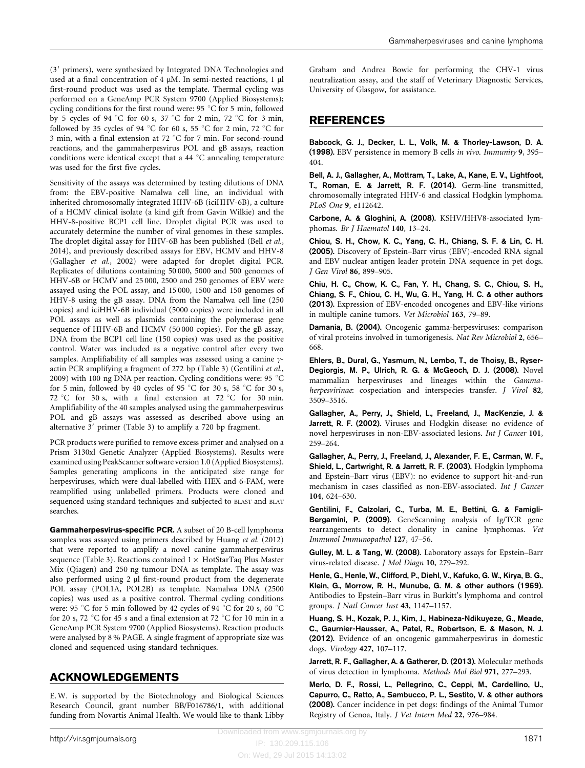<span id="page-8-0"></span>(3' primers), were synthesized by Integrated DNA Technologies and used at a final concentration of 4  $\mu$ M. In semi-nested reactions, 1  $\mu$ l first-round product was used as the template. Thermal cycling was performed on a GeneAmp PCR System 9700 (Applied Biosystems); cycling conditions for the first round were: 95  $\degree$ C for 5 min, followed by 5 cycles of 94 °C for 60 s, 37 °C for 2 min, 72 °C for 3 min, followed by 35 cycles of 94 °C for 60 s, 55 °C for 2 min, 72 °C for 3 min, with a final extension at 72  $^{\circ}$ C for 7 min. For second-round reactions, and the gammaherpesvirus POL and gB assays, reaction conditions were identical except that a 44  $\degree$ C annealing temperature was used for the first five cycles.

Sensitivity of the assays was determined by testing dilutions of DNA from: the EBV-positive Namalwa cell line, an individual with inherited chromosomally integrated HHV-6B (iciHHV-6B), a culture of a HCMV clinical isolate (a kind gift from Gavin Wilkie) and the HHV-8-positive BCP1 cell line. Droplet digital PCR was used to accurately determine the number of viral genomes in these samples. The droplet digital assay for HHV-6B has been published (Bell et al., 2014), and previously described assays for EBV, HCMV and HHV-8 (Gallagher et al., 2002) were adapted for droplet digital PCR. Replicates of dilutions containing 50 000, 5000 and 500 genomes of HHV-6B or HCMV and 25 000, 2500 and 250 genomes of EBV were assayed using the POL assay, and 15 000, 1500 and 150 genomes of HHV-8 using the gB assay. DNA from the Namalwa cell line (250 copies) and iciHHV-6B individual (5000 copies) were included in all POL assays as well as plasmids containing the polymerase gene sequence of HHV-6B and HCMV (50 000 copies). For the gB assay, DNA from the BCP1 cell line (150 copies) was used as the positive control. Water was included as a negative control after every two samples. Amplifiability of all samples was assessed using a canine  $\gamma$ actin PCR amplifying a fragment of 272 bp [\(Table 3](#page-7-0)) (Gentilini et al., 2009) with 100 ng DNA per reaction. Cycling conditions were: 95  $^{\circ}$ C for 5 min, followed by 40 cycles of 95 °C for 30 s, 58 °C for 30 s, 72 °C for 30 s, with a final extension at 72 °C for 30 min. Amplifiability of the 40 samples analysed using the gammaherpesvirus POL and gB assays was assessed as described above using an alternative  $3'$  primer ([Table 3](#page-7-0)) to amplify a 720 bp fragment.

PCR products were purified to remove excess primer and analysed on a Prism 3130xl Genetic Analyzer (Applied Biosystems). Results were examined using PeakScanner software version 1.0 (Applied Biosystems). Samples generating amplicons in the anticipated size range for herpesviruses, which were dual-labelled with HEX and 6-FAM, were reamplified using unlabelled primers. Products were cloned and sequenced using standard techniques and subjected to BLAST and BLAT searches.

Gammaherpesvirus-specific PCR. A subset of 20 B-cell lymphoma samples was assayed using primers described by Huang et al. (2012) that were reported to amplify a novel canine gammaherpesvirus sequence ([Table 3](#page-7-0)). Reactions contained  $1 \times$  HotStarTaq Plus Master Mix (Qiagen) and 250 ng tumour DNA as template. The assay was also performed using  $2 \mu$  first-round product from the degenerate POL assay (POL1A, POL2B) as template. Namalwa DNA (2500 copies) was used as a positive control. Thermal cycling conditions were: 95 °C for 5 min followed by 42 cycles of 94 °C for 20 s, 60 °C for 20 s, 72 °C for 45 s and a final extension at 72 °C for 10 min in a GeneAmp PCR System 9700 (Applied Biosystems). Reaction products were analysed by 8 % PAGE. A single fragment of appropriate size was cloned and sequenced using standard techniques.

## ACKNOWLEDGEMENTS

E. W. is supported by the Biotechnology and Biological Sciences Research Council, grant number BB/F016786/1, with additional funding from Novartis Animal Health. We would like to thank Libby Graham and Andrea Bowie for performing the CHV-1 virus neutralization assay, and the staff of Veterinary Diagnostic Services, University of Glasgow, for assistance.

## REFERENCES

Babcock, G. J., Decker, L. L., Volk, M. & Thorley-Lawson, D. A. (1998). EBV persistence in memory B cells in vivo. Immunity 9, 395– 404.

Bell, A. J., Gallagher, A., Mottram, T., Lake, A., Kane, E. V., Lightfoot, T., Roman, E. & Jarrett, R. F. (2014). Germ-line transmitted, chromosomally integrated HHV-6 and classical Hodgkin lymphoma. PLoS One 9, e112642.

Carbone, A. & Gloghini, A. (2008). KSHV/HHV8-associated lymphomas. Br J Haematol 140, 13–24.

Chiou, S. H., Chow, K. C., Yang, C. H., Chiang, S. F. & Lin, C. H. (2005). Discovery of Epstein–Barr virus (EBV)-encoded RNA signal and EBV nuclear antigen leader protein DNA sequence in pet dogs. J Gen Virol 86, 899–905.

Chiu, H. C., Chow, K. C., Fan, Y. H., Chang, S. C., Chiou, S. H., Chiang, S. F., Chiou, C. H., Wu, G. H., Yang, H. C. & other authors (2013). Expression of EBV-encoded oncogenes and EBV-like virions in multiple canine tumors. Vet Microbiol 163, 79–89.

Damania, B. (2004). Oncogenic gamma-herpesviruses: comparison of viral proteins involved in tumorigenesis. Nat Rev Microbiol 2, 656– 668.

Ehlers, B., Dural, G., Yasmum, N., Lembo, T., de Thoisy, B., Ryser-Degiorgis, M. P., Ulrich, R. G. & McGeoch, D. J. (2008). Novel mammalian herpesviruses and lineages within the Gammaherpesvirinae: cospeciation and interspecies transfer. J Virol 82, 3509–3516.

Gallagher, A., Perry, J., Shield, L., Freeland, J., MacKenzie, J. & Jarrett, R. F. (2002). Viruses and Hodgkin disease: no evidence of novel herpesviruses in non-EBV-associated lesions. Int J Cancer 101, 259–264.

Gallagher, A., Perry, J., Freeland, J., Alexander, F. E., Carman, W. F., Shield, L., Cartwright, R. & Jarrett, R. F. (2003). Hodgkin lymphoma and Epstein–Barr virus (EBV): no evidence to support hit-and-run mechanism in cases classified as non-EBV-associated. Int J Cancer 104, 624–630.

Gentilini, F., Calzolari, C., Turba, M. E., Bettini, G. & Famigli-Bergamini, P. (2009). GeneScanning analysis of Ig/TCR gene rearrangements to detect clonality in canine lymphomas. Vet Immunol Immunopathol 127, 47–56.

Gulley, M. L. & Tang, W. (2008). Laboratory assays for Epstein–Barr virus-related disease. J Mol Diagn 10, 279–292.

Henle, G., Henle, W., Clifford, P., Diehl, V., Kafuko, G. W., Kirya, B. G., Klein, G., Morrow, R. H., Munube, G. M. & other authors (1969). Antibodies to Epstein–Barr virus in Burkitt's lymphoma and control groups. J Natl Cancer Inst 43, 1147–1157.

Huang, S. H., Kozak, P. J., Kim, J., Habineza-Ndikuyeze, G., Meade, C., Gaurnier-Hausser, A., Patel, R., Robertson, E. & Mason, N. J. (2012). Evidence of an oncogenic gammaherpesvirus in domestic dogs. Virology 427, 107–117.

Jarrett, R. F., Gallagher, A. & Gatherer, D. (2013). Molecular methods of virus detection in lymphoma. Methods Mol Biol 971, 277–293.

Merlo, D. F., Rossi, L., Pellegrino, C., Ceppi, M., Cardellino, U., Capurro, C., Ratto, A., Sambucco, P. L., Sestito, V. & other authors (2008). Cancer incidence in pet dogs: findings of the Animal Tumor Registry of Genoa, Italy. J Vet Intern Med 22, 976–984.